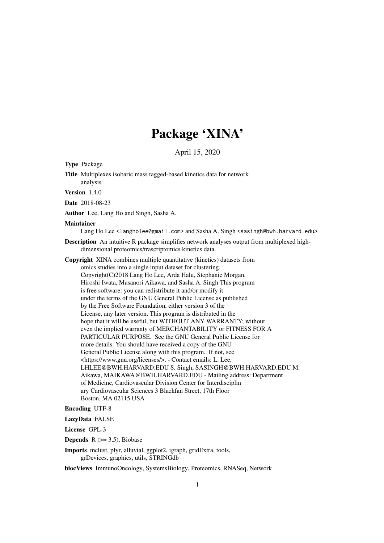# Package 'XINA'

April 15, 2020

<span id="page-0-0"></span>Type Package

Title Multiplexes isobaric mass tagged-based kinetics data for network analysis

Version 1.4.0

Date 2018-08-23

Author Lee, Lang Ho and Singh, Sasha A.

#### Maintainer

Lang Ho Lee <langholee@gmail.com> and Sasha A. Singh <sasingh@bwh.harvard.edu>

Description An intuitive R package simplifies network analyses output from multiplexed highdimensional proteomics/trascriptomics kinetics data.

Copyright XINA combines multiple quantitative (kinetics) datasets from omics studies into a single input dataset for clustering. Copyright(C)2018 Lang Ho Lee, Arda Halu, Stephanie Morgan, Hiroshi Iwata, Masanori Aikawa, and Sasha A. Singh This program is free software: you can redistribute it and/or modify it under the terms of the GNU General Public License as published by the Free Software Foundation, either version 3 of the License, any later version. This program is distributed in the hope that it will be useful, but WITHOUT ANY WARRANTY; without even the implied warranty of MERCHANTABILITY or FITNESS FOR A PARTICULAR PURPOSE. See the GNU General Public License for more details. You should have received a copy of the GNU General Public License along with this program. If not, see <https://www.gnu.org/licenses/>. - Contact emails: L. Lee, LHLEE@BWH.HARVARD.EDU S. Singh, SASINGH@BWH.HARVARD.EDU M. Aikawa, MAIKAWA@BWH.HARVARD.EDU - Mailing address: Department of Medicine, Cardiovascular Division Center for Interdisciplin ary Cardiovascular Sciences 3 Blackfan Street, 17th Floor Boston, MA 02115 USA

#### Encoding UTF-8

LazyData FALSE

License GPL-3

**Depends**  $R$  ( $> = 3.5$ ), Biobase

Imports mclust, plyr, alluvial, ggplot2, igraph, gridExtra, tools, grDevices, graphics, utils, STRINGdb

biocViews ImmunoOncology, SystemsBiology, Proteomics, RNASeq, Network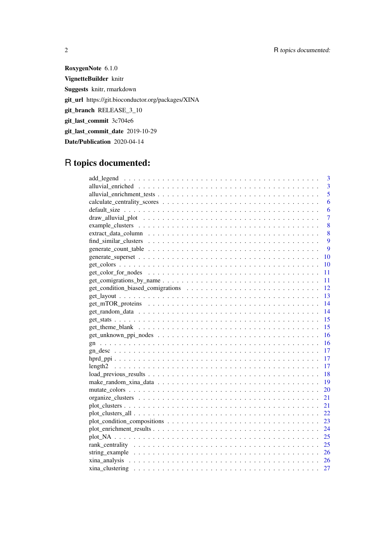RoxygenNote 6.1.0 VignetteBuilder knitr Suggests knitr, rmarkdown git\_url https://git.bioconductor.org/packages/XINA git\_branch RELEASE\_3\_10 git\_last\_commit 3c704e6 git\_last\_commit\_date 2019-10-29 Date/Publication 2020-04-14

# R topics documented:

|                                                                                                                                  | 3              |
|----------------------------------------------------------------------------------------------------------------------------------|----------------|
|                                                                                                                                  | 3              |
|                                                                                                                                  | 5              |
|                                                                                                                                  | 6              |
|                                                                                                                                  | 6              |
|                                                                                                                                  | $\overline{7}$ |
|                                                                                                                                  | 8              |
|                                                                                                                                  | 8              |
|                                                                                                                                  | 9              |
|                                                                                                                                  | 9              |
|                                                                                                                                  | 10             |
|                                                                                                                                  | 10             |
|                                                                                                                                  | 11             |
|                                                                                                                                  | 11             |
|                                                                                                                                  | 12             |
|                                                                                                                                  |                |
|                                                                                                                                  |                |
|                                                                                                                                  |                |
|                                                                                                                                  |                |
|                                                                                                                                  |                |
| $get_uunknown\_ppi\_nodes \dots \dots \dots \dots \dots \dots \dots \dots \dots \dots \dots \dots \dots \dots \dots \dots \dots$ |                |
|                                                                                                                                  |                |
|                                                                                                                                  |                |
|                                                                                                                                  |                |
|                                                                                                                                  |                |
|                                                                                                                                  |                |
|                                                                                                                                  | $-19$          |
|                                                                                                                                  | 20             |
|                                                                                                                                  | 21             |
|                                                                                                                                  | 21             |
|                                                                                                                                  | 22             |
|                                                                                                                                  | 23             |
|                                                                                                                                  | 24             |
|                                                                                                                                  | 25             |
|                                                                                                                                  | 25             |
|                                                                                                                                  |                |
|                                                                                                                                  |                |
|                                                                                                                                  | 27             |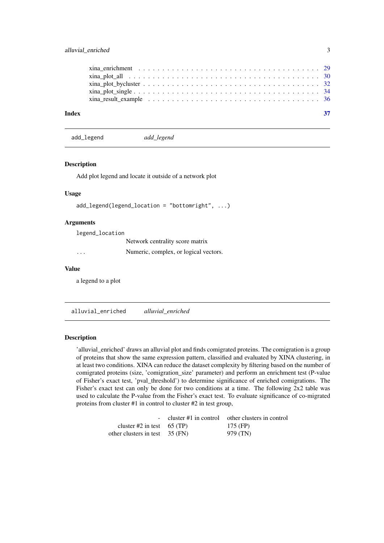<span id="page-2-0"></span>

| $xina_plot_bycluster \ldots \ldots \ldots \ldots \ldots \ldots \ldots \ldots \ldots \ldots \ldots \ldots \ldots 32$ |
|---------------------------------------------------------------------------------------------------------------------|

add\_legend *add\_legend*

#### Description

Add plot legend and locate it outside of a network plot

# Usage

```
add_legend(legend_location = "bottomright", ...)
```
# Arguments

legend\_location

Network centrality score matrix

... Numeric, complex, or logical vectors.

# Value

a legend to a plot

alluvial\_enriched *alluvial\_enriched*

#### Description

'alluvial\_enriched' draws an alluvial plot and finds comigrated proteins. The comigration is a group of proteins that show the same expression pattern, classified and evaluated by XINA clustering, in at least two conditions. XINA can reduce the dataset complexity by filtering based on the number of comigrated proteins (size, 'comigration\_size' parameter) and perform an enrichment test (P-value of Fisher's exact test, 'pval\_threshold') to determine significance of enriched comigrations. The Fisher's exact test can only be done for two conditions at a time. The following 2x2 table was used to calculate the P-value from the Fisher's exact test. To evaluate significance of co-migrated proteins from cluster #1 in control to cluster #2 in test group,

|                                  | - cluster $#1$ in control other clusters in control |
|----------------------------------|-----------------------------------------------------|
| cluster #2 in test $65$ (TP)     | 175 (FP)                                            |
| other clusters in test $35$ (FN) | 979 (TN)                                            |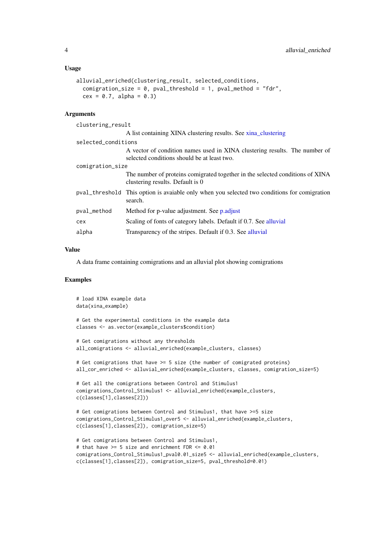#### <span id="page-3-0"></span>Usage

```
alluvial_enriched(clustering_result, selected_conditions,
 comigration_size = 0, pval_threshold = 1, pval_method = "fdr",
 cex = 0.7, alpha = 0.3)
```
#### Arguments

| clustering_result   |                                                                                                                           |
|---------------------|---------------------------------------------------------------------------------------------------------------------------|
|                     | A list containing XINA clustering results. See xina_clustering                                                            |
| selected_conditions |                                                                                                                           |
|                     | A vector of condition names used in XINA clustering results. The number of<br>selected conditions should be at least two. |
| comigration_size    |                                                                                                                           |
|                     | The number of proteins comigrated together in the selected conditions of XINA<br>clustering results. Default is 0         |
|                     | pval_threshold This option is avaiable only when you selected two conditions for comigration<br>search.                   |
| pval_method         | Method for p-value adjustment. See p.adjust                                                                               |
| cex                 | Scaling of fonts of category labels. Default if 0.7. See alluvial                                                         |
| alpha               | Transparency of the stripes. Default if 0.3. See alluvial                                                                 |
|                     |                                                                                                                           |

#### Value

A data frame containing comigrations and an alluvial plot showing comigrations

```
# load XINA example data
data(xina_example)
# Get the experimental conditions in the example data
classes <- as.vector(example_clusters$condition)
# Get comigrations without any thresholds
all_comigrations <- alluvial_enriched(example_clusters, classes)
# Get comigrations that have >= 5 size (the number of comigrated proteins)
all_cor_enriched <- alluvial_enriched(example_clusters, classes, comigration_size=5)
# Get all the comigrations between Control and Stimulus1
comigrations_Control_Stimulus1 <- alluvial_enriched(example_clusters,
c(classes[1],classes[2]))
# Get comigrations between Control and Stimulus1, that have >=5 size
comigrations_Control_Stimulus1_over5 <- alluvial_enriched(example_clusters,
c(classes[1],classes[2]), comigration_size=5)
# Get comigrations between Control and Stimulus1,
# that have >= 5 size and enrichment FDR <= 0.01comigrations_Control_Stimulus1_pval0.01_size5 <- alluvial_enriched(example_clusters,
c(classes[1],classes[2]), comigration_size=5, pval_threshold=0.01)
```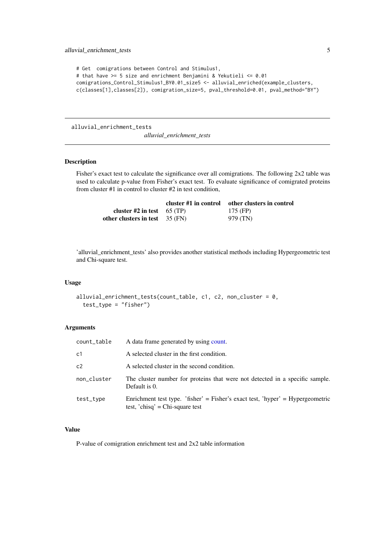```
# Get comigrations between Control and Stimulus1,
# that have >= 5 size and enrichment Benjamini & Yekutieli <= 0.01
comigrations_Control_Stimulus1_BY0.01_size5 <- alluvial_enriched(example_clusters,
c(classes[1],classes[2]), comigration_size=5, pval_threshold=0.01, pval_method="BY")
```
alluvial\_enrichment\_tests

*alluvial\_enrichment\_tests*

# Description

Fisher's exact test to calculate the significance over all comigrations. The following 2x2 table was used to calculate p-value from Fisher's exact test. To evaluate significance of comigrated proteins from cluster #1 in control to cluster #2 in test condition,

|                                  | cluster #1 in control | other clusters in control |
|----------------------------------|-----------------------|---------------------------|
| cluster #2 in test $65$ (TP)     |                       | $175$ (FP)                |
| other clusters in test $35$ (FN) |                       | 979 (TN)                  |

'alluvial\_enrichment\_tests' also provides another statistical methods including Hypergeometric test and Chi-square test.

#### Usage

```
alluvial_enrichment_tests(count_table, c1, c2, non_cluster = 0,
  test_type = "fisher")
```
#### Arguments

| count_table    | A data frame generated by using count.                                                                            |
|----------------|-------------------------------------------------------------------------------------------------------------------|
| c <sub>1</sub> | A selected cluster in the first condition.                                                                        |
| c2             | A selected cluster in the second condition.                                                                       |
| non_cluster    | The cluster number for proteins that were not detected in a specific sample.<br>Default is 0.                     |
| test_type      | Enrichment test type. 'fisher' = Fisher's exact test, 'hyper' = Hypergeometric<br>test, 'chisq' = Chi-square test |

# Value

P-value of comigration enrichment test and 2x2 table information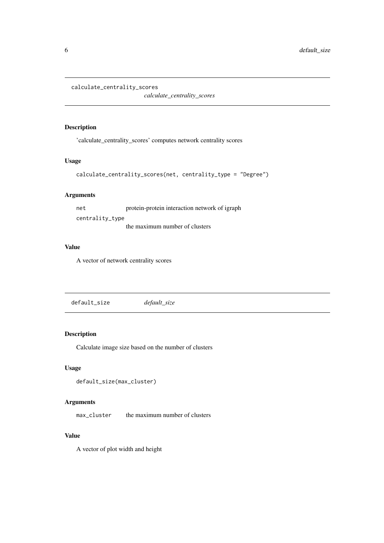```
calculate_centrality_scores
```
*calculate\_centrality\_scores*

# Description

'calculate\_centrality\_scores' computes network centrality scores

# Usage

```
calculate_centrality_scores(net, centrality_type = "Degree")
```
# Arguments

net protein-protein interaction network of igraph centrality\_type the maximum number of clusters

#### Value

A vector of network centrality scores

```
default_size default_size
```
# Description

Calculate image size based on the number of clusters

# Usage

```
default_size(max_cluster)
```
# Arguments

max\_cluster the maximum number of clusters

#### Value

A vector of plot width and height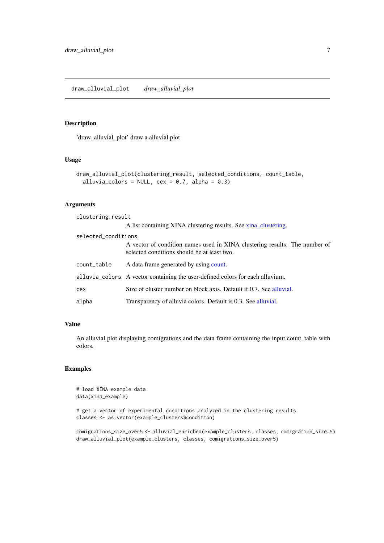#### <span id="page-6-0"></span>Description

'draw\_alluvial\_plot' draw a alluvial plot

### Usage

```
draw_alluvial_plot(clustering_result, selected_conditions, count_table,
  alluvia_colors = NULL, cex = 0.7, alpha = 0.3)
```
#### Arguments

clustering\_result A list containing XINA clustering results. See [xina\\_clustering.](#page-26-1) selected\_conditions A vector of condition names used in XINA clustering results. The number of selected conditions should be at least two. count\_table A data frame generated by using [count.](#page-0-0) alluvia\_colors A vector containing the user-defined colors for each alluvium. cex Size of cluster number on block axis. Default if 0.7. See [alluvial.](#page-0-0) alpha Transparency of alluvia colors. Default is 0.3. See [alluvial.](#page-0-0)

# Value

An alluvial plot displaying comigrations and the data frame containing the input count\_table with colors.

```
# load XINA example data
data(xina_example)
```

```
# get a vector of experimental conditions analyzed in the clustering results
classes <- as.vector(example_clusters$condition)
```

```
comigrations_size_over5 <- alluvial_enriched(example_clusters, classes, comigration_size=5)
draw_alluvial_plot(example_clusters, classes, comigrations_size_over5)
```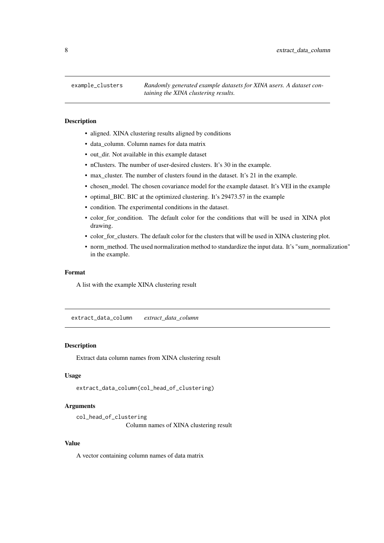<span id="page-7-0"></span>

#### Description

- aligned. XINA clustering results aligned by conditions
- data\_column. Column names for data matrix
- out\_dir. Not available in this example dataset
- nClusters. The number of user-desired clusters. It's 30 in the example.
- max\_cluster. The number of clusters found in the dataset. It's 21 in the example.
- chosen\_model. The chosen covariance model for the example dataset. It's VEI in the example
- optimal\_BIC. BIC at the optimized clustering. It's 29473.57 in the example
- condition. The experimental conditions in the dataset.
- color\_for\_condition. The default color for the conditions that will be used in XINA plot drawing.
- color\_for\_clusters. The default color for the clusters that will be used in XINA clustering plot.
- norm\_method. The used normalization method to standardize the input data. It's "sum\_normalization" in the example.

#### Format

A list with the example XINA clustering result

extract\_data\_column *extract\_data\_column*

#### Description

Extract data column names from XINA clustering result

#### Usage

extract\_data\_column(col\_head\_of\_clustering)

#### Arguments

```
col_head_of_clustering
                Column names of XINA clustering result
```
#### Value

A vector containing column names of data matrix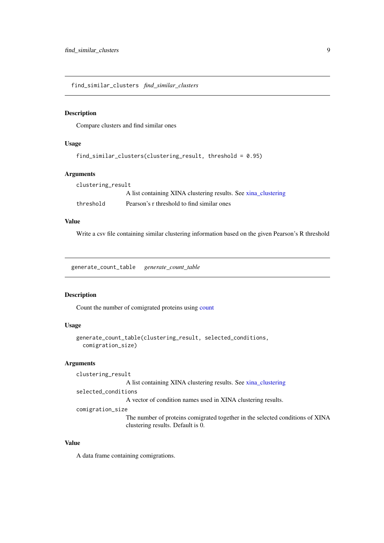<span id="page-8-0"></span>find\_similar\_clusters *find\_similar\_clusters*

#### Description

Compare clusters and find similar ones

#### Usage

```
find_similar_clusters(clustering_result, threshold = 0.95)
```
# Arguments

| clustering_result |                                                                |
|-------------------|----------------------------------------------------------------|
|                   | A list containing XINA clustering results. See xina_clustering |
| threshold         | Pearson's r threshold to find similar ones                     |

# Value

Write a csv file containing similar clustering information based on the given Pearson's R threshold

generate\_count\_table *generate\_count\_table*

#### Description

Count the number of comigrated proteins using [count](#page-0-0)

# Usage

```
generate_count_table(clustering_result, selected_conditions,
 comigration_size)
```
# Arguments

clustering\_result

A list containing XINA clustering results. See [xina\\_clustering](#page-26-1)

selected\_conditions

A vector of condition names used in XINA clustering results.

comigration\_size

The number of proteins comigrated together in the selected conditions of XINA clustering results. Default is 0.

#### Value

A data frame containing comigrations.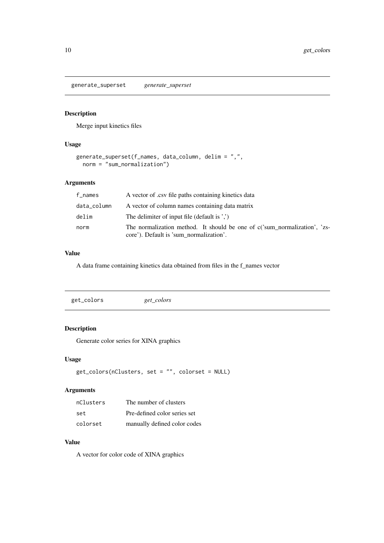<span id="page-9-0"></span>generate\_superset *generate\_superset*

# Description

Merge input kinetics files

# Usage

```
generate_superset(f_names, data_column, delim = ",",
 norm = "sum_normalization")
```
#### Arguments

| f_names     | A vector of .csv file paths containing kinetics data                                                                 |
|-------------|----------------------------------------------------------------------------------------------------------------------|
| data_column | A vector of column names containing data matrix                                                                      |
| delim       | The delimiter of input file (default is ',')                                                                         |
| norm        | The normalization method. It should be one of c('sum normalization', 'zs-<br>core'). Default is 'sum normalization'. |

# Value

A data frame containing kinetics data obtained from files in the f\_names vector

| get_colors | get_colors |  |  |
|------------|------------|--|--|
|------------|------------|--|--|

# Description

Generate color series for XINA graphics

# Usage

```
get_colors(nClusters, set = "", colorset = NULL)
```
# Arguments

| nClusters | The number of clusters       |
|-----------|------------------------------|
| set       | Pre-defined color series set |
| colorset  | manually defined color codes |

# Value

A vector for color code of XINA graphics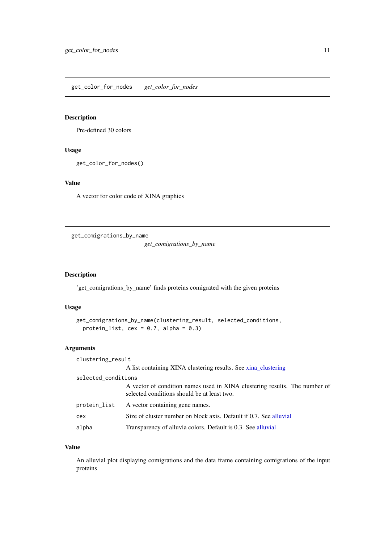<span id="page-10-0"></span>get\_color\_for\_nodes *get\_color\_for\_nodes*

# Description

Pre-defined 30 colors

# Usage

```
get_color_for_nodes()
```
# Value

A vector for color code of XINA graphics

get\_comigrations\_by\_name

*get\_comigrations\_by\_name*

#### Description

'get\_comigrations\_by\_name' finds proteins comigrated with the given proteins

# Usage

```
get_comigrations_by_name(clustering_result, selected_conditions,
  protein_list, cex = 0.7, alpha = 0.3)
```
# Arguments

| clustering_result   |                                                                                                                           |
|---------------------|---------------------------------------------------------------------------------------------------------------------------|
|                     | A list containing XINA clustering results. See xina_clustering                                                            |
| selected_conditions |                                                                                                                           |
|                     | A vector of condition names used in XINA clustering results. The number of<br>selected conditions should be at least two. |
| protein_list        | A vector containing gene names.                                                                                           |
| cex                 | Size of cluster number on block axis. Default if 0.7. See alluvial                                                        |
| alpha               | Transparency of alluvia colors. Default is 0.3. See alluvial                                                              |

# Value

An alluvial plot displaying comigrations and the data frame containing comigrations of the input proteins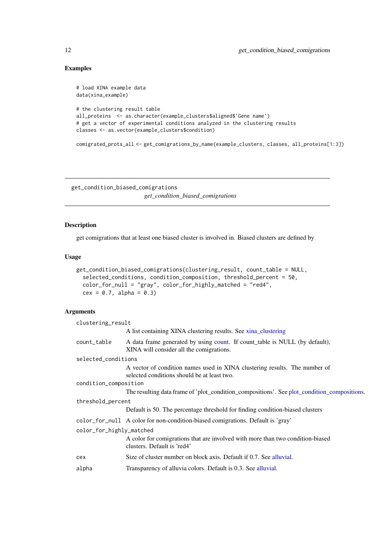# Examples

```
# load XINA example data
data(xina_example)
# the clustering result table
all_proteins <- as.character(example_clusters$aligned$`Gene name`)
# get a vector of experimental conditions analyzed in the clustering results
classes <- as.vector(example_clusters$condition)
comigrated_prots_all <- get_comigrations_by_name(example_clusters, classes, all_proteins[1:3])
```
get\_condition\_biased\_comigrations *get\_condition\_biased\_comigrations*

# Description

get comigrations that at least one biased cluster is involved in. Biased clusters are defined by

#### Usage

```
get_condition_biased_comigrations(clustering_result, count_table = NULL,
 selected_conditions, condition_composition, threshold_percent = 50,
 color_for_null = "gray", color_for_highly_matched = "red4",
 cex = 0.7, alpha = 0.3)
```
#### Arguments

| clustering_result        |                                                                                                                           |  |
|--------------------------|---------------------------------------------------------------------------------------------------------------------------|--|
|                          | A list containing XINA clustering results. See xina_clustering                                                            |  |
| count_table              | A data frame generated by using count. If count table is NULL (by default),<br>XINA will consider all the comigrations.   |  |
| selected_conditions      |                                                                                                                           |  |
|                          | A vector of condition names used in XINA clustering results. The number of<br>selected conditions should be at least two. |  |
| condition_composition    |                                                                                                                           |  |
|                          | The resulting data frame of 'plot_condition_compositions'. See plot_condition_compositions.                               |  |
| threshold_percent        |                                                                                                                           |  |
|                          | Default is 50. The percentage threshold for finding condition-biased clusters                                             |  |
|                          | color_for_null A color for non-condition-biased comigrations. Default is 'gray'                                           |  |
| color_for_highly_matched |                                                                                                                           |  |
|                          | A color for comigrations that are involved with more than two condition-biased<br>clusters. Default is 'red4'             |  |
| cex                      | Size of cluster number on block axis. Default if 0.7. See alluvial.                                                       |  |
| alpha                    | Transparency of alluvia colors. Default is 0.3. See alluvial.                                                             |  |

<span id="page-11-0"></span>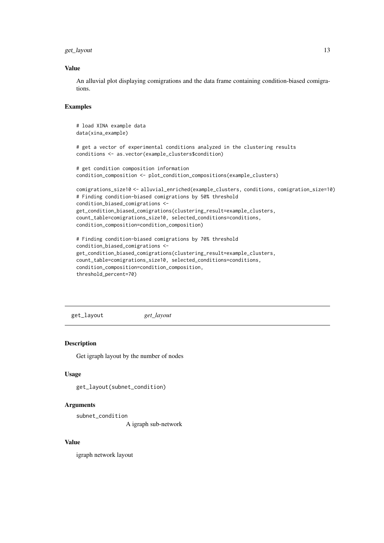#### <span id="page-12-0"></span>get\_layout 13

#### Value

An alluvial plot displaying comigrations and the data frame containing condition-biased comigrations.

#### Examples

```
# load XINA example data
data(xina_example)
# get a vector of experimental conditions analyzed in the clustering results
conditions <- as.vector(example_clusters$condition)
# get condition composition information
condition_composition <- plot_condition_compositions(example_clusters)
comigrations_size10 <- alluvial_enriched(example_clusters, conditions, comigration_size=10)
# Finding condition-biased comigrations by 50% threshold
condition_biased_comigrations <-
get_condition_biased_comigrations(clustering_result=example_clusters,
count_table=comigrations_size10, selected_conditions=conditions,
condition_composition=condition_composition)
# Finding condition-biased comigrations by 70% threshold
condition_biased_comigrations <-
get_condition_biased_comigrations(clustering_result=example_clusters,
count_table=comigrations_size10, selected_conditions=conditions,
condition_composition=condition_composition,
```
threshold\_percent=70)

get\_layout *get\_layout*

### Description

Get igraph layout by the number of nodes

# Usage

```
get_layout(subnet_condition)
```
# Arguments

subnet\_condition

A igraph sub-network

# Value

igraph network layout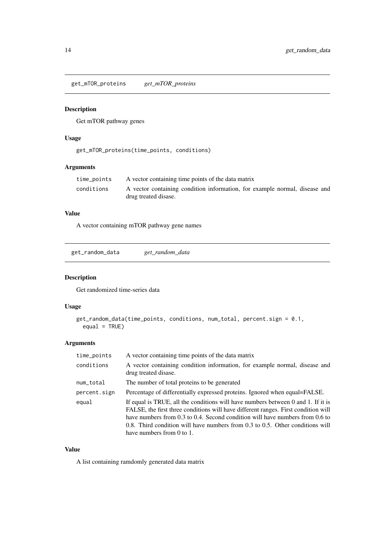<span id="page-13-0"></span>get\_mTOR\_proteins *get\_mTOR\_proteins*

# Description

Get mTOR pathway genes

# Usage

```
get_mTOR_proteins(time_points, conditions)
```
# Arguments

| time_points | A vector containing time points of the data matrix                         |
|-------------|----------------------------------------------------------------------------|
| conditions  | A vector containing condition information, for example normal, disease and |
|             | drug treated disase.                                                       |

#### Value

A vector containing mTOR pathway gene names

get\_random\_data *get\_random\_data*

# Description

Get randomized time-series data

# Usage

```
get_random_data(time_points, conditions, num_total, percent.sign = 0.1,
 equal = TRUE)
```
# Arguments

| time_points  | A vector containing time points of the data matrix                                                                                                                                                                                                                                                                                                                        |
|--------------|---------------------------------------------------------------------------------------------------------------------------------------------------------------------------------------------------------------------------------------------------------------------------------------------------------------------------------------------------------------------------|
| conditions   | A vector containing condition information, for example normal, disease and<br>drug treated disase.                                                                                                                                                                                                                                                                        |
| num_total    | The number of total proteins to be generated                                                                                                                                                                                                                                                                                                                              |
| percent.sign | Percentage of differentially expressed proteins. Ignored when equal=FALSE.                                                                                                                                                                                                                                                                                                |
| equal        | If equal is TRUE, all the conditions will have numbers between 0 and 1. If it is<br>FALSE, the first three conditions will have different ranges. First condition will<br>have numbers from 0.3 to 0.4. Second condition will have numbers from 0.6 to<br>0.8. Third condition will have numbers from 0.3 to 0.5. Other conditions will<br>have numbers from $0$ to $1$ . |

# Value

A list containing ramdomly generated data matrix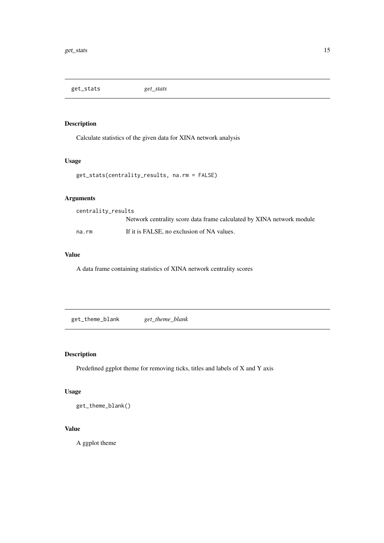<span id="page-14-0"></span>

# Description

Calculate statistics of the given data for XINA network analysis

#### Usage

get\_stats(centrality\_results, na.rm = FALSE)

# Arguments

centrality\_results Network centrality score data frame calculated by XINA network module na.rm If it is FALSE, no exclusion of NA values.

#### Value

A data frame containing statistics of XINA network centrality scores

get\_theme\_blank *get\_theme\_blank*

# Description

Predefined ggplot theme for removing ticks, titles and labels of X and Y axis

# Usage

get\_theme\_blank()

# Value

A ggplot theme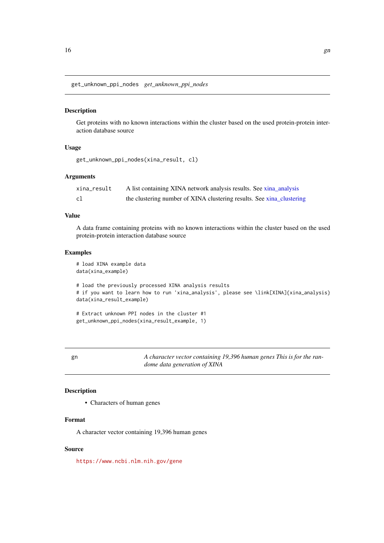<span id="page-15-0"></span>get\_unknown\_ppi\_nodes *get\_unknown\_ppi\_nodes*

#### Description

Get proteins with no known interactions within the cluster based on the used protein-protein interaction database source

# Usage

```
get_unknown_ppi_nodes(xina_result, cl)
```
#### Arguments

| xina_result | A list containing XINA network analysis results. See xina_analysis    |
|-------------|-----------------------------------------------------------------------|
| cl          | the clustering number of XINA clustering results. See xina_clustering |

# Value

A data frame containing proteins with no known interactions within the cluster based on the used protein-protein interaction database source

#### Examples

```
# load XINA example data
data(xina_example)
# load the previously processed XINA analysis results
# if you want to learn how to run 'xina_analysis', please see \link[XINA]{xina_analysis}
data(xina_result_example)
# Extract unknown PPI nodes in the cluster #1
```

```
get_unknown_ppi_nodes(xina_result_example, 1)
```
gn *A character vector containing 19,396 human genes This is for the randome data generation of XINA*

# Description

• Characters of human genes

# Format

A character vector containing 19,396 human genes

#### Source

<https://www.ncbi.nlm.nih.gov/gene>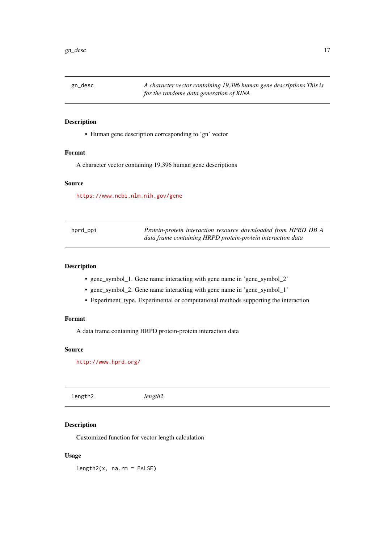<span id="page-16-0"></span>

# Description

• Human gene description corresponding to 'gn' vector

# Format

A character vector containing 19,396 human gene descriptions

# Source

<https://www.ncbi.nlm.nih.gov/gene>

| hprd_ppi | Protein-protein interaction resource downloaded from HPRD DB A |
|----------|----------------------------------------------------------------|
|          | data frame containing HRPD protein-protein interaction data    |

#### Description

- gene symbol 1. Gene name interacting with gene name in 'gene symbol 2'
- gene\_symbol\_2. Gene name interacting with gene name in 'gene\_symbol\_1'
- Experiment\_type. Experimental or computational methods supporting the interaction

### Format

A data frame containing HRPD protein-protein interaction data

# Source

<http://www.hprd.org/>

length2 *length2*

# Description

Customized function for vector length calculation

# Usage

length2(x, na.rm = FALSE)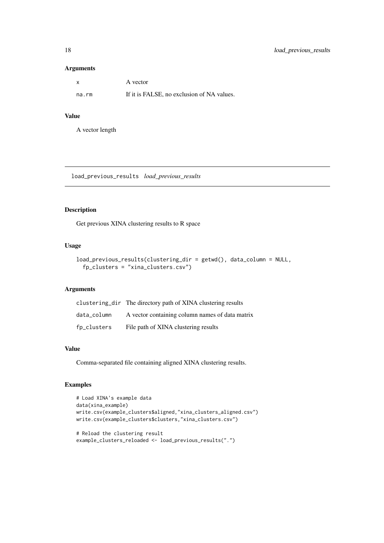#### Arguments

| X     | A vector                                   |
|-------|--------------------------------------------|
| na.rm | If it is FALSE, no exclusion of NA values. |

# Value

A vector length

load\_previous\_results *load\_previous\_results*

# Description

Get previous XINA clustering results to R space

# Usage

```
load_previous_results(clustering_dir = getwd(), data_column = NULL,
 fp_clusters = "xina_clusters.csv")
```
# Arguments

|             | clustering_dir The directory path of XINA clustering results |
|-------------|--------------------------------------------------------------|
| data column | A vector containing column names of data matrix              |
| fp_clusters | File path of XINA clustering results                         |

#### Value

Comma-separated file containing aligned XINA clustering results.

```
# Load XINA's example data
data(xina_example)
write.csv(example_clusters$aligned,"xina_clusters_aligned.csv")
write.csv(example_clusters$clusters,"xina_clusters.csv")
# Reload the clustering result
example_clusters_reloaded <- load_previous_results(".")
```
<span id="page-17-0"></span>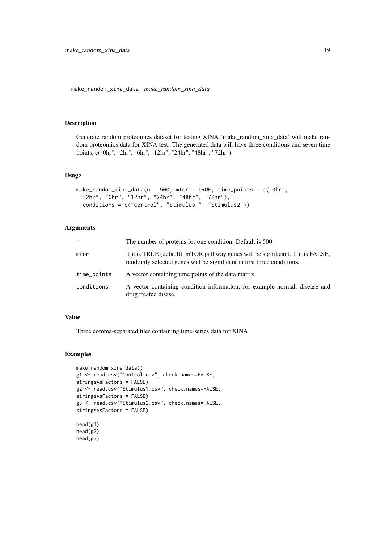<span id="page-18-0"></span>make\_random\_xina\_data *make\_random\_xina\_data*

#### Description

Generate random proteomics dataset for testing XINA 'make\_random\_xina\_data' will make random proteomics data for XINA test. The generated data will have three conditions and seven time points, c("0hr", "2hr", "6hr", "12hr", "24hr", "48hr", "72hr").

#### Usage

```
make_random_xina_data(n = 500, mtor = TRUE, time_points = c("0hr","2hr", "6hr", "12hr", "24hr", "48hr", "72hr"),
 conditions = c("Control", "Stimulus1", "Stimulus2"))
```
#### Arguments

| n           | The number of proteins for one condition. Default is 500.                                                                                                  |
|-------------|------------------------------------------------------------------------------------------------------------------------------------------------------------|
| mtor        | If it is TRUE (default), mTOR pathway genes will be significant. If it is FALSE,<br>randomly selected genes will be significant in first three conditions. |
| time_points | A vector containing time points of the data matrix                                                                                                         |
| conditions  | A vector containing condition information, for example normal, disease and<br>drug treated disase.                                                         |

#### Value

Three comma-separated files containing time-series data for XINA

```
make_random_xina_data()
g1 <- read.csv("Control.csv", check.names=FALSE,
stringsAsFactors = FALSE)
g2 <- read.csv("Stimulus1.csv", check.names=FALSE,
stringsAsFactors = FALSE)
g3 <- read.csv("Stimulus2.csv", check.names=FALSE,
stringsAsFactors = FALSE)
head(g1)
head(g2)
head(g3)
```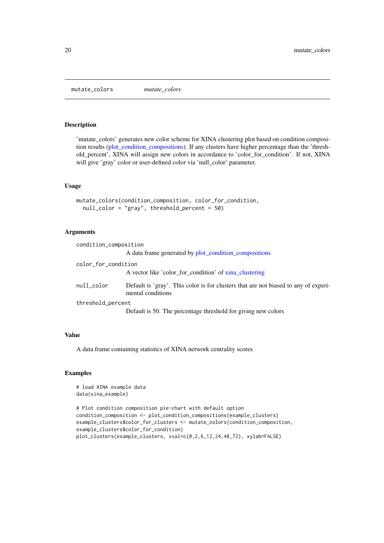<span id="page-19-0"></span>mutate\_colors *mutate\_colors*

#### Description

'mutate\_colors' generates new color scheme for XINA clustering plot based on condition composition results [\(plot\\_condition\\_compositions\)](#page-22-1). If any clusters have higher percentage than the 'threshold\_percent', XINA will assign new colors in accordance to 'color\_for\_condition'. If not, XINA will give 'gray' color or user-defined color via 'null\_color' parameter.

#### Usage

```
mutate_colors(condition_composition, color_for_condition,
 null_color = "gray", threshold_percent = 50)
```
# Arguments

| condition_composition |                                                                                                          |
|-----------------------|----------------------------------------------------------------------------------------------------------|
|                       | A data frame generated by plot_condition_compositions                                                    |
| color_for_condition   |                                                                                                          |
|                       | A vector like 'color_for_condition' of xina_clustering                                                   |
| null_color            | Default is 'gray'. This color is for clusters that are not biased to any of experi-<br>mental conditions |
| threshold_percent     |                                                                                                          |
|                       | Default is 50. The percentage threshold for giving new colors                                            |

#### Value

A data frame containing statistics of XINA network centrality scores

```
# load XINA example data
data(xina_example)
```

```
# Plot condition composition pie-chart with default option
condition_composition <- plot_condition_compositions(example_clusters)
example_clusters$color_for_clusters <- mutate_colors(condition_composition,
example_clusters$color_for_condition)
plot_clusters(example_clusters, xval=c(0,2,6,12,24,48,72), xylab=FALSE)
```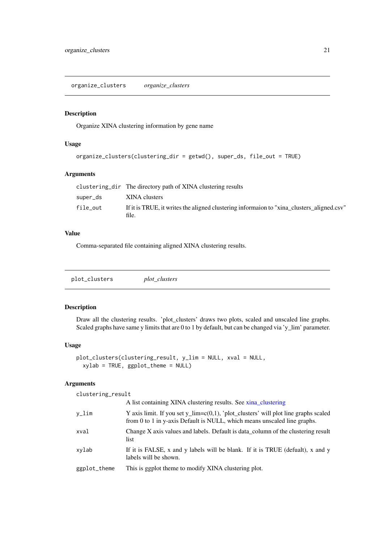<span id="page-20-0"></span>organize\_clusters *organize\_clusters*

#### Description

Organize XINA clustering information by gene name

# Usage

```
organize_clusters(clustering_dir = getwd(), super_ds, file_out = TRUE)
```
# Arguments

|          | clustering dir The directory path of XINA clustering results                                        |
|----------|-----------------------------------------------------------------------------------------------------|
| super_ds | XINA clusters                                                                                       |
| file_out | If it is TRUE, it writes the aligned clustering information to "xina clusters aligned.csv"<br>file. |

# Value

Comma-separated file containing aligned XINA clustering results.

plot\_clusters *plot\_clusters*

#### Description

Draw all the clustering results. 'plot\_clusters' draws two plots, scaled and unscaled line graphs. Scaled graphs have same y limits that are 0 to 1 by default, but can be changed via 'y\_lim' parameter.

#### Usage

```
plot_clusters(clustering_result, y_lim = NULL, xval = NULL,
 xylab = TRUE, ggplot_theme = NULL)
```
#### Arguments

| clustering_result |                                                                                                                                                                     |
|-------------------|---------------------------------------------------------------------------------------------------------------------------------------------------------------------|
|                   | A list containing XINA clustering results. See xina_clustering                                                                                                      |
| y_lim             | Y axis limit. If you set $y_l$ lim=c(0,1), 'plot_clusters' will plot line graphs scaled<br>from 0 to 1 in y-axis Default is NULL, which means unscaled line graphs. |
| xval              | Change X axis values and labels. Default is data column of the clustering result<br>list                                                                            |
| xylab             | If it is FALSE, x and y labels will be blank. If it is TRUE (defualt), x and y<br>labels will be shown.                                                             |
| ggplot_theme      | This is ggplot theme to modify XINA clustering plot.                                                                                                                |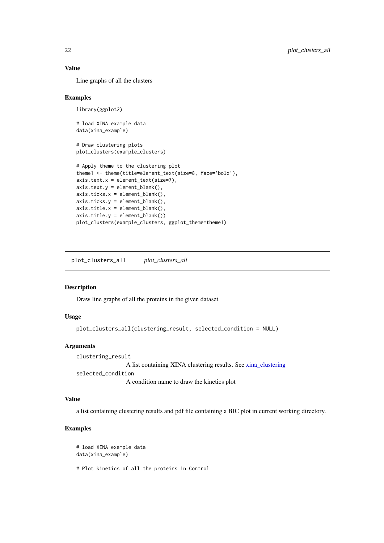# Value

Line graphs of all the clusters

#### Examples

```
library(ggplot2)
# load XINA example data
data(xina_example)
# Draw clustering plots
plot_clusters(example_clusters)
# Apply theme to the clustering plot
theme1 <- theme(title=element_text(size=8, face='bold'),
axis.text.x = element_text(size=7),
axis.text.y = element_blank(),axis.ticks.x = element_blank(),
axis.ticks.y = element_blank(),
axis.title.x = element_blank(),
axis.title.y = element\_blank())plot_clusters(example_clusters, ggplot_theme=theme1)
```
plot\_clusters\_all *plot\_clusters\_all*

# Description

Draw line graphs of all the proteins in the given dataset

#### Usage

```
plot_clusters_all(clustering_result, selected_condition = NULL)
```
#### Arguments

clustering\_result A list containing XINA clustering results. See [xina\\_clustering](#page-26-1) selected\_condition A condition name to draw the kinetics plot

# Value

a list containing clustering results and pdf file containing a BIC plot in current working directory.

```
# load XINA example data
data(xina_example)
# Plot kinetics of all the proteins in Control
```
<span id="page-21-0"></span>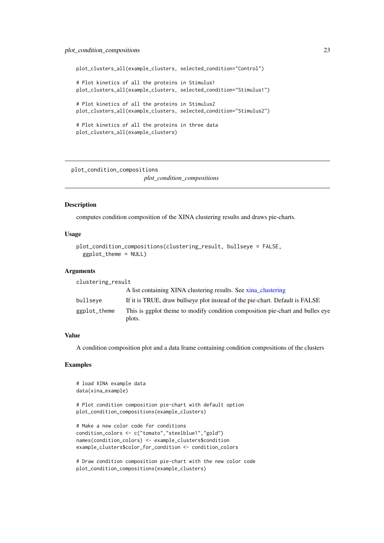#### <span id="page-22-0"></span>plot\_condition\_compositions 23

plot\_clusters\_all(example\_clusters, selected\_condition="Control")

```
# Plot kinetics of all the proteins in Stimulus1
plot_clusters_all(example_clusters, selected_condition="Stimulus1")
# Plot kinetics of all the proteins in Stimulus2
plot_clusters_all(example_clusters, selected_condition="Stimulus2")
# Plot kinetics of all the proteins in three data
plot clusters all(example clusters)
```
<span id="page-22-1"></span>plot\_condition\_compositions

*plot\_condition\_compositions*

#### Description

computes condition composition of the XINA clustering results and draws pie-charts.

#### Usage

```
plot_condition_compositions(clustering_result, bullseye = FALSE,
 ggplot_theme = NULL)
```
#### Arguments

| clustering_result |                                                                                         |
|-------------------|-----------------------------------------------------------------------------------------|
|                   | A list containing XINA clustering results. See xina clustering                          |
| bullseye          | If it is TRUE, draw bullseve plot instead of the pie-chart. Default is FALSE            |
| ggplot_theme      | This is ggplot theme to modify condition composition pie-chart and bulles eye<br>plots. |

### Value

A condition composition plot and a data frame containing condition compositions of the clusters

# Examples

```
# load XINA example data
data(xina_example)
```
# Plot condition composition pie-chart with default option plot\_condition\_compositions(example\_clusters)

```
# Make a new color code for conditions
condition_colors <- c("tomato","steelblue1","gold")
names(condition_colors) <- example_clusters$condition
example_clusters$color_for_condition <- condition_colors
```
# Draw condition composition pie-chart with the new color code plot\_condition\_compositions(example\_clusters)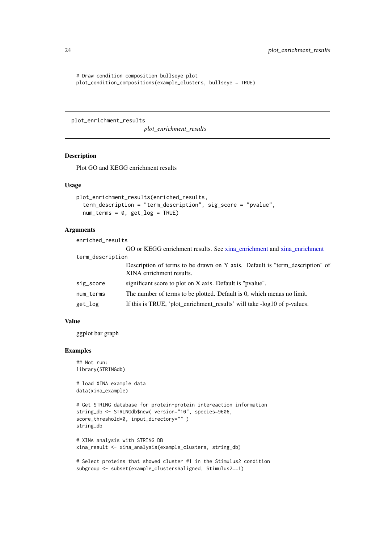```
# Draw condition composition bullseye plot
plot_condition_compositions(example_clusters, bullseye = TRUE)
```
plot\_enrichment\_results

*plot\_enrichment\_results*

#### Description

Plot GO and KEGG enrichment results

# Usage

```
plot_enrichment_results(enriched_results,
  term_description = "term_description", sig_score = "pvalue",
 num_terms = 0, get_log = TRUE)
```
# Arguments

| enriched_results |                                                                                                          |
|------------------|----------------------------------------------------------------------------------------------------------|
|                  | GO or KEGG enrichment results. See xina_enrichment and xina_enrichment                                   |
| term_description |                                                                                                          |
|                  | Description of terms to be drawn on Y axis. Default is "term_description" of<br>XINA enrichment results. |
| sig_score        | significant score to plot on X axis. Default is "pvalue".                                                |
| num_terms        | The number of terms to be plotted. Default is 0, which menas no limit.                                   |
| get_log          | If this is TRUE, 'plot_enrichment_results' will take -log10 of p-values.                                 |

# Value

ggplot bar graph

# Examples

```
## Not run:
library(STRINGdb)
```
# load XINA example data data(xina\_example)

```
# Get STRING database for protein-protein intereaction information
string_db <- STRINGdb$new( version="10", species=9606,
score_threshold=0, input_directory="" )
string_db
```

```
# XINA analysis with STRING DB
xina_result <- xina_analysis(example_clusters, string_db)
```

```
# Select proteins that showed cluster #1 in the Stimulus2 condition
subgroup <- subset(example_clusters$aligned, Stimulus2==1)
```
<span id="page-23-0"></span>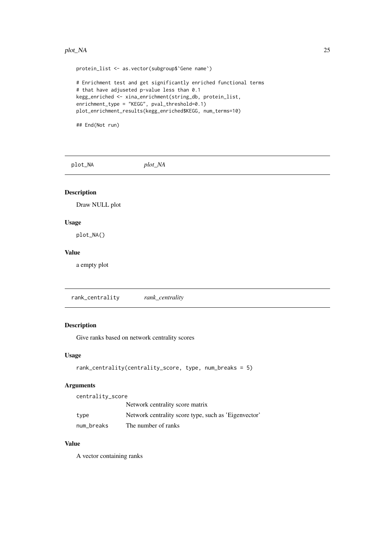#### <span id="page-24-0"></span>plot\_NA 25

protein\_list <- as.vector(subgroup\$`Gene name`) # Enrichment test and get significantly enriched functional terms # that have adjuseted p-value less than 0.1 kegg\_enriched <- xina\_enrichment(string\_db, protein\_list, enrichment\_type = "KEGG", pval\_threshold=0.1) plot\_enrichment\_results(kegg\_enriched\$KEGG, num\_terms=10)

## End(Not run)

plot\_NA *plot\_NA*

# Description

Draw NULL plot

#### Usage

plot\_NA()

# Value

a empty plot

rank\_centrality *rank\_centrality*

# Description

Give ranks based on network centrality scores

# Usage

```
rank_centrality(centrality_score, type, num_breaks = 5)
```
#### Arguments

centrality\_score

|            | Network centrality score matrix                      |
|------------|------------------------------------------------------|
| type       | Network centrality score type, such as 'Eigenvector' |
| num_breaks | The number of ranks                                  |

# Value

A vector containing ranks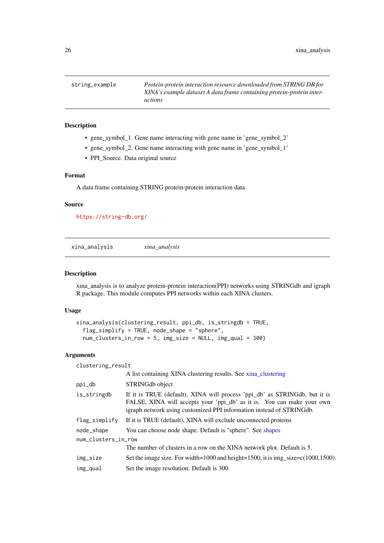<span id="page-25-0"></span>string\_example *Protein-protein interaction resource downloaded from STRING DB for XINA's example dataset A data frame containing protein-protein interactions*

#### Description

- gene\_symbol\_1. Gene name interacting with gene name in 'gene\_symbol\_2'
- gene\_symbol\_2. Gene name interacting with gene name in 'gene\_symbol\_1'
- PPI\_Source. Data original source

#### Format

A data frame containing STRING protein-protein interaction data

#### Source

<https://string-db.org/>

<span id="page-25-1"></span>xina\_analysis *xina\_analysis*

#### Description

xina\_analysis is to analyze protein-protein interaction(PPI) networks using STRINGdb and igraph R package. This module computes PPI networks within each XINA clusters.

### Usage

```
xina_analysis(clustering_result, ppi_db, is_stringdb = TRUE,
  flag_simplify = TRUE, node_shape = "sphere",
 num_clusters_in_row = 5, img_size = NULL, img_qual = 300)
```
#### Arguments

| clustering_result   |                                                                                                                                                                                                                              |  |
|---------------------|------------------------------------------------------------------------------------------------------------------------------------------------------------------------------------------------------------------------------|--|
|                     | A list containing XINA clustering results. See xina_clustering                                                                                                                                                               |  |
| ppi_db              | STRINGdb object                                                                                                                                                                                                              |  |
| is_stringdb         | If it is TRUE (default), XINA will process 'ppi_db' as STRINGdb, but it is<br>FALSE, XINA will accepts your 'ppi_db' as it is. You can make your own<br>igraph network using customized PPI information instead of STRINGdb. |  |
| flag_simplify       | If it is TRUE (default), XINA will exclude unconnected proteins                                                                                                                                                              |  |
| node_shape          | You can choose node shape. Default is "sphere". See shapes                                                                                                                                                                   |  |
| num_clusters_in_row |                                                                                                                                                                                                                              |  |
|                     | The number of clusters in a row on the XINA network plot. Default is 5.                                                                                                                                                      |  |
| img_size            | Set the image size. For width=1000 and height=1500, it is img_size= $c(1000, 1500)$ .                                                                                                                                        |  |
| img_qual            | Set the image resolution. Default is 300.                                                                                                                                                                                    |  |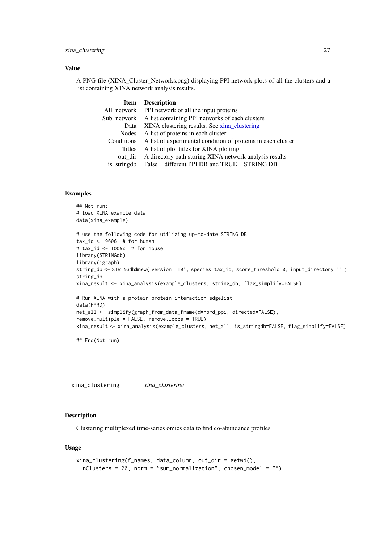#### <span id="page-26-0"></span>xina\_clustering 27

#### Value

A PNG file (XINA\_Cluster\_Networks.png) displaying PPI network plots of all the clusters and a list containing XINA network analysis results.

| <b>Item</b>   | <b>Description</b>                                           |
|---------------|--------------------------------------------------------------|
| All network   | PPI network of all the input proteins                        |
| Sub network   | A list containing PPI networks of each clusters              |
| Data          | XINA clustering results. See xina_clustering                 |
| Nodes         | A list of proteins in each cluster                           |
| Conditions    | A list of experimental condition of proteins in each cluster |
| <b>Titles</b> | A list of plot titles for XINA plotting                      |
| out dir       | A directory path storing XINA network analysis results       |
| is_stringdb   | False = different PPI DB and TRUE = STRING DB                |

# Examples

```
## Not run:
# load XINA example data
data(xina_example)
# use the following code for utilizing up-to-date STRING DB
tax_id \leq -9606 # for human
# tax_id <- 10090 # for mouse
library(STRINGdb)
library(igraph)
string_db <- STRINGdb$new( version='10', species=tax_id, score_threshold=0, input_directory='' )
string_db
xina_result <- xina_analysis(example_clusters, string_db, flag_simplify=FALSE)
# Run XINA with a protein-protein interaction edgelist
data(HPRD)
net_all <- simplify(graph_from_data_frame(d=hprd_ppi, directed=FALSE),
remove.multiple = FALSE, remove.loops = TRUE)
xina_result <- xina_analysis(example_clusters, net_all, is_stringdb=FALSE, flag_simplify=FALSE)
```
## End(Not run)

<span id="page-26-1"></span>xina\_clustering *xina\_clustering*

#### Description

Clustering multiplexed time-series omics data to find co-abundance profiles

# Usage

```
xina_clustering(f_names, data_column, out_dir = getwd(),
 nClusters = 20, norm = "sum_normalization", chosen_model = "")
```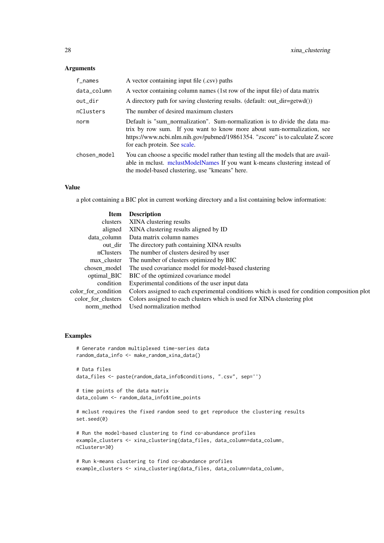# Arguments

| $f$ _names   | A vector containing input file (.csv) paths                                                                                                                                                                                                                             |
|--------------|-------------------------------------------------------------------------------------------------------------------------------------------------------------------------------------------------------------------------------------------------------------------------|
| data_column  | A vector containing column names (1st row of the input file) of data matrix                                                                                                                                                                                             |
| out_dir      | A directory path for saving clustering results. (default: out_dir=getwd())                                                                                                                                                                                              |
| nClusters    | The number of desired maximum clusters                                                                                                                                                                                                                                  |
| norm         | Default is "sum normalization". Sum-normalization is to divide the data ma-<br>trix by row sum. If you want to know more about sum-normalization, see<br>https://www.ncbi.nlm.nih.gov/pubmed/19861354. "zscore" is to calculate Z score<br>for each protein. See scale. |
| chosen_model | You can choose a specific model rather than testing all the models that are avail-<br>able in melust. melustModelNames If you want k-means clustering instead of<br>the model-based clustering, use "kmeans" here.                                                      |

#### Value

a plot containing a BIC plot in current working directory and a list containing below information:

| <b>Item</b>         | <b>Description</b>                                                                           |
|---------------------|----------------------------------------------------------------------------------------------|
| clusters            | XINA clustering results                                                                      |
| aligned             | XINA clustering results aligned by ID                                                        |
| data column         | Data matrix column names                                                                     |
| out dir             | The directory path containing XINA results                                                   |
| nClusters           | The number of clusters desired by user                                                       |
| max cluster         | The number of clusters optimized by BIC                                                      |
| chosen_model        | The used covariance model for model-based clustering                                         |
| optimal_BIC         | BIC of the optimized covariance model                                                        |
| condition           | Experimental conditions of the user input data                                               |
| color for condition | Colors assigned to each experimental conditions which is used for condition composition plot |
| color for clusters  | Colors assigned to each clusters which is used for XINA clustering plot                      |
| norm method         | Used normalization method                                                                    |

```
# Generate random multiplexed time-series data
random_data_info <- make_random_xina_data()
# Data files
data_files <- paste(random_data_info$conditions, ".csv", sep='')
# time points of the data matrix
data_column <- random_data_info$time_points
# mclust requires the fixed random seed to get reproduce the clustering results
set.seed(0)
# Run the model-based clustering to find co-abundance profiles
example_clusters <- xina_clustering(data_files, data_column=data_column,
nClusters=30)
```

```
# Run k-means clustering to find co-abundance profiles
example_clusters <- xina_clustering(data_files, data_column=data_column,
```
<span id="page-27-0"></span>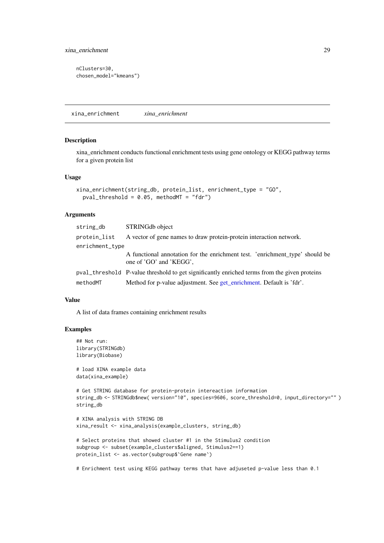```
nClusters=30,
chosen_model="kmeans")
```
<span id="page-28-1"></span>xina\_enrichment *xina\_enrichment*

#### Description

xina\_enrichment conducts functional enrichment tests using gene ontology or KEGG pathway terms for a given protein list

#### Usage

```
xina_enrichment(string_db, protein_list, enrichment_type = "GO",
 pval_threshold = 0.05, methodMT = "fdr")
```
#### Arguments

| string_db       | STRINGdb object                                                                                         |  |
|-----------------|---------------------------------------------------------------------------------------------------------|--|
| protein_list    | A vector of gene names to draw protein-protein interaction network.                                     |  |
| enrichment_type |                                                                                                         |  |
|                 | A functional annotation for the enrichment test. 'enrichment_type' should be<br>one of 'GO' and 'KEGG', |  |
|                 | pval_threshold P-value threshold to get significantly enriched terms from the given proteins            |  |
| methodMT        | Method for p-value adjustment. See get_enrichment. Default is 'fdr'.                                    |  |

#### Value

A list of data frames containing enrichment results

#### Examples

```
## Not run:
library(STRINGdb)
library(Biobase)
```
# load XINA example data data(xina\_example)

```
# Get STRING database for protein-protein intereaction information
string_db <- STRINGdb$new( version="10", species=9606, score_threshold=0, input_directory="" )
string_db
```

```
# XINA analysis with STRING DB
xina_result <- xina_analysis(example_clusters, string_db)
```

```
# Select proteins that showed cluster #1 in the Stimulus2 condition
subgroup <- subset(example_clusters$aligned, Stimulus2==1)
protein_list <- as.vector(subgroup$`Gene name`)
```
# Enrichment test using KEGG pathway terms that have adjuseted p-value less than 0.1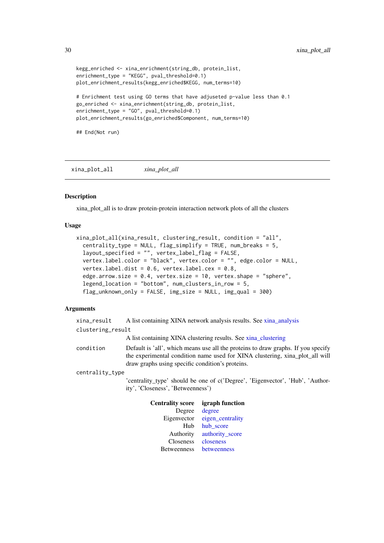```
kegg_enriched <- xina_enrichment(string_db, protein_list,
enrichment_type = "KEGG", pval_threshold=0.1)
plot_enrichment_results(kegg_enriched$KEGG, num_terms=10)
# Enrichment test using GO terms that have adjuseted p-value less than 0.1
go_enriched <- xina_enrichment(string_db, protein_list,
enrichment_type = "GO", pval_threshold=0.1)
plot_enrichment_results(go_enriched$Component, num_terms=10)
## End(Not run)
```
xina\_plot\_all *xina\_plot\_all*

#### Description

xina\_plot\_all is to draw protein-protein interaction network plots of all the clusters

#### Usage

```
xina_plot_all(xina_result, clustering_result, condition = "all",
 centrality_type = NULL, flag_simplify = TRUE, num_breaks = 5,
  layout_specified = "", vertex_label_flag = FALSE,
  vertex.label.color = "black", vertex.color = "", edge.color = NULL,
  vertex.label.dist = 0.6, vertex.label.cex = 0.8,
  edge.arrow.size = 0.4, vertex.size = 10, vertex.shape = "sphere",
  legend_location = "bottom", num_clusters_in_row = 5,
  flag_unknown_only = FALSE, img_size = NULL, img_qual = 300)
```
#### Arguments

| xina_result       | A list containing XINA network analysis results. See xina_analysis                                                                                                                                                    |
|-------------------|-----------------------------------------------------------------------------------------------------------------------------------------------------------------------------------------------------------------------|
| clustering_result |                                                                                                                                                                                                                       |
|                   | A list containing XINA clustering results. See xina_clustering                                                                                                                                                        |
| condition         | Default is 'all', which means use all the proteins to draw graphs. If you specify<br>the experimental condition name used for XINA clustering, xina_plot_all will<br>draw graphs using specific condition's proteins. |
| centrality_type   |                                                                                                                                                                                                                       |
|                   | 'centrality_type' should be one of c('Degree', 'Eigenvector', 'Hub', 'Author-<br>ity', 'Closeness', 'Betweenness')                                                                                                    |
|                   |                                                                                                                                                                                                                       |

| igraph function  |
|------------------|
| degree           |
| eigen_centrality |
| hub_score        |
| authority_score  |
| closeness        |
| betweenness      |
|                  |

<span id="page-29-0"></span>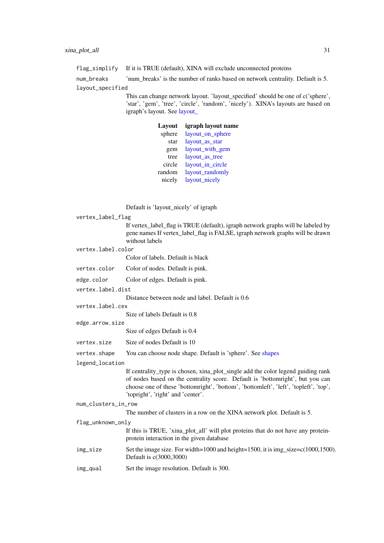<span id="page-30-0"></span>flag\_simplify If it is TRUE (default), XINA will exclude unconnected proteins

num\_breaks 'num\_breaks' is the number of ranks based on network centrality. Default is 5. layout\_specified

> This can change network layout. 'layout\_specified' should be one of c('sphere', 'star', 'gem', 'tree', 'circle', 'random', 'nicely'). XINA's layouts are based on igraph's layout. See [layout\\_](#page-0-0)

| Layout | igraph layout name |
|--------|--------------------|
| sphere | layout_on_sphere   |
| star   | layout_as_star     |
| gem    | layout_with_gem    |
| tree   | layout_as_tree     |
| circle | layout_in_circle   |
| random | layout_randomly    |
| nicely | layout_nicely      |
|        |                    |

Default is 'layout\_nicely' of igraph

|                   |                     | Default is tayout meety of igraph                                                                                                                                                                                                                                                              |
|-------------------|---------------------|------------------------------------------------------------------------------------------------------------------------------------------------------------------------------------------------------------------------------------------------------------------------------------------------|
| vertex_label_flag |                     |                                                                                                                                                                                                                                                                                                |
|                   |                     | If vertex_label_flag is TRUE (default), igraph network graphs will be labeled by<br>gene names If vertex_label_flag is FALSE, igraph network graphs will be drawn<br>without labels                                                                                                            |
|                   | vertex.label.color  |                                                                                                                                                                                                                                                                                                |
|                   |                     | Color of labels. Default is black                                                                                                                                                                                                                                                              |
|                   | vertex.color        | Color of nodes. Default is pink.                                                                                                                                                                                                                                                               |
|                   | edge.color          | Color of edges. Default is pink.                                                                                                                                                                                                                                                               |
|                   | vertex.label.dist   |                                                                                                                                                                                                                                                                                                |
|                   |                     | Distance between node and label. Default is 0.6                                                                                                                                                                                                                                                |
|                   | vertex.label.cex    |                                                                                                                                                                                                                                                                                                |
|                   |                     | Size of labels Default is 0.8                                                                                                                                                                                                                                                                  |
| edge.arrow.size   |                     |                                                                                                                                                                                                                                                                                                |
|                   |                     | Size of edges Default is 0.4                                                                                                                                                                                                                                                                   |
|                   | vertex.size         | Size of nodes Default is 10                                                                                                                                                                                                                                                                    |
|                   | vertex.shape        | You can choose node shape. Default is 'sphere'. See shapes                                                                                                                                                                                                                                     |
|                   | legend_location     |                                                                                                                                                                                                                                                                                                |
|                   |                     | If centrality_type is chosen, xina_plot_single add the color legend guiding rank<br>of nodes based on the centrality score. Default is 'bottomright', but you can<br>choose one of these 'bottomright', 'bottom', 'bottomleft', 'left', 'topleft', 'top',<br>'topright', 'right' and 'center'. |
|                   | num_clusters_in_row |                                                                                                                                                                                                                                                                                                |
|                   |                     | The number of clusters in a row on the XINA network plot. Default is 5.                                                                                                                                                                                                                        |
| flag_unknown_only |                     |                                                                                                                                                                                                                                                                                                |
|                   |                     | If this is TRUE, 'xina_plot_all' will plot proteins that do not have any protein-<br>protein interaction in the given database                                                                                                                                                                 |
|                   | img_size            | Set the image size. For width=1000 and height=1500, it is img_size=c(1000,1500).<br>Default is c(3000,3000)                                                                                                                                                                                    |
|                   | img_qual            | Set the image resolution. Default is 300.                                                                                                                                                                                                                                                      |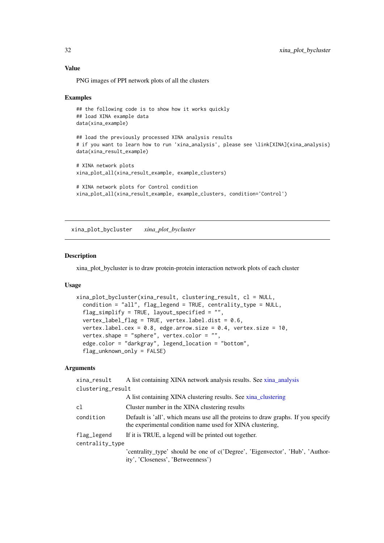#### Value

PNG images of PPI network plots of all the clusters

#### Examples

```
## the following code is to show how it works quickly
## load XINA example data
data(xina_example)
## load the previously processed XINA analysis results
# if you want to learn how to run 'xina_analysis', please see \link[XINA]{xina_analysis}
data(xina_result_example)
# XINA network plots
xina_plot_all(xina_result_example, example_clusters)
# XINA network plots for Control condition
xina_plot_all(xina_result_example, example_clusters, condition='Control')
```
xina\_plot\_bycluster *xina\_plot\_bycluster*

#### Description

xina\_plot\_bycluster is to draw protein-protein interaction network plots of each cluster

#### Usage

```
xina_plot_bycluster(xina_result, clustering_result, cl = NULL,
 condition = "all", flag_legend = TRUE, centrality_type = NULL,
  flag_simplify = TRUE, layout_specified = "",
 vertex_label_flag = TRUE, vertex.label.dist = 0.6,
 vertex.label.cex = 0.8, edge.arrow.size = 0.4, vertex.size = 10,
 vertex.shape = "sphere", vertex.color = "",
 edge.color = "darkgray", legend_location = "bottom",
  flag_unknown_only = FALSE)
```
#### Arguments

| xina_result       | A list containing XINA network analysis results. See xina_analysis                                                                             |  |
|-------------------|------------------------------------------------------------------------------------------------------------------------------------------------|--|
| clustering_result |                                                                                                                                                |  |
|                   | A list containing XINA clustering results. See xina_clustering                                                                                 |  |
| c1                | Cluster number in the XINA clustering results                                                                                                  |  |
| condition         | Default is 'all', which means use all the proteins to draw graphs. If you specify<br>the experimental condition name used for XINA clustering, |  |
| $flag\_legend$    | If it is TRUE, a legend will be printed out together.                                                                                          |  |
| centrality_type   |                                                                                                                                                |  |
|                   | 'centrality_type' should be one of c('Degree', 'Eigenvector', 'Hub', 'Author-                                                                  |  |
|                   | ity', 'Closeness', 'Betweenness')                                                                                                              |  |

<span id="page-31-0"></span>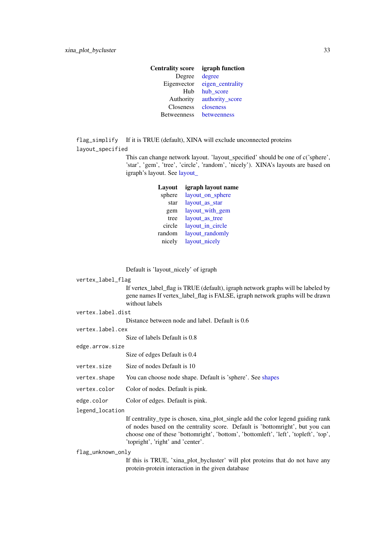<span id="page-32-0"></span>

| <b>Centrality score</b> | igraph function  |
|-------------------------|------------------|
| Degree                  | degree           |
| Eigenvector             | eigen_centrality |
| Hub                     | hub score        |
| Authority               | authority_score  |
| Closeness               | closeness        |
| <b>Betweenness</b>      | betweenness      |
|                         |                  |

flag\_simplify If it is TRUE (default), XINA will exclude unconnected proteins layout\_specified

> This can change network layout. 'layout\_specified' should be one of c('sphere', 'star', 'gem', 'tree', 'circle', 'random', 'nicely'). XINA's layouts are based on igraph's layout. See [layout\\_](#page-0-0)

| Layout | igraph layout name |
|--------|--------------------|
| sphere | layout_on_sphere   |
| star   | layout_as_star     |
| gem    | layout_with_gem    |
| tree   | layout as tree     |
| circle | layout_in_circle   |
| random | layout_randomly    |
| nicely | layout_nicely      |

Default is 'layout\_nicely' of igraph

vertex\_label\_flag

If vertex\_label\_flag is TRUE (default), igraph network graphs will be labeled by gene names If vertex\_label\_flag is FALSE, igraph network graphs will be drawn without labels

vertex.label.dist

Distance between node and label. Default is 0.6

vertex.label.cex

Size of labels Default is 0.8

edge.arrow.size

Size of edges Default is 0.4

vertex.size Size of nodes Default is 10

vertex.shape You can choose node shape. Default is 'sphere'. See [shapes](#page-0-0)

vertex.color Color of nodes. Default is pink.

edge.color Color of edges. Default is pink.

legend\_location

If centrality\_type is chosen, xina\_plot\_single add the color legend guiding rank of nodes based on the centrality score. Default is 'bottomright', but you can choose one of these 'bottomright', 'bottom', 'bottomleft', 'left', 'topleft', 'top', 'topright', 'right' and 'center'.

#### flag\_unknown\_only

If this is TRUE, 'xina\_plot\_bycluster' will plot proteins that do not have any protein-protein interaction in the given database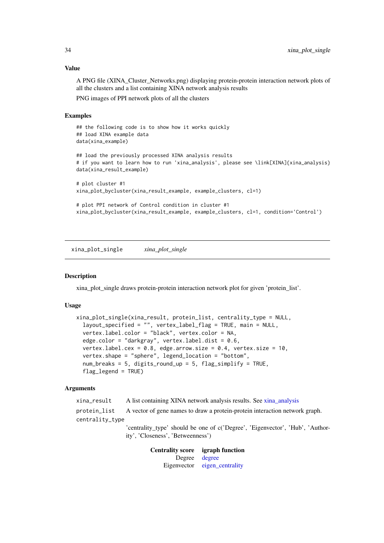#### <span id="page-33-0"></span>Value

A PNG file (XINA\_Cluster\_Networks.png) displaying protein-protein interaction network plots of all the clusters and a list containing XINA network analysis results

PNG images of PPI network plots of all the clusters

#### Examples

```
## the following code is to show how it works quickly
## load XINA example data
data(xina_example)
## load the previously processed XINA analysis results
# if you want to learn how to run 'xina_analysis', please see \link[XINA]{xina_analysis}
data(xina_result_example)
# plot cluster #1
xina_plot_bycluster(xina_result_example, example_clusters, cl=1)
# plot PPI network of Control condition in cluster #1
xina_plot_bycluster(xina_result_example, example_clusters, cl=1, condition='Control')
```
xina\_plot\_single *xina\_plot\_single*

#### Description

xina\_plot\_single draws protein-protein interaction network plot for given 'protein\_list'.

#### Usage

```
xina_plot_single(xina_result, protein_list, centrality_type = NULL,
 layout_specified = "", vertex_label_flag = TRUE, main = NULL,
 vertex.label.color = "black", vertex.color = NA,
 edge.color = "darkgray", vertex.label.dist = 0.6,
 vertex.label.cex = 0.8, edge.arrow.size = 0.4, vertex.size = 10,
 vertex.shape = "sphere", legend_location = "bottom",
 num_breaks = 5, digits_round_up = 5, flag_simplify = TRUE,
 flag leqegend = TRUE)
```
#### Arguments

xina\_result A list containing XINA network analysis results. See [xina\\_analysis](#page-25-1) protein\_list A vector of gene names to draw a protein-protein interaction network graph. centrality\_type 'centrality\_type' should be one of c('Degree', 'Eigenvector', 'Hub', 'Author-

ity', 'Closeness', 'Betweenness')

Centrality score igraph function Degree [degree](#page-0-0) Eigenvector [eigen\\_centrality](#page-0-0)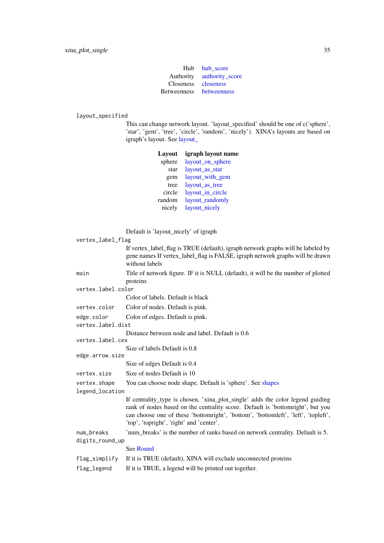|                    | Hub hub score   |
|--------------------|-----------------|
| Authority          | authority_score |
| <b>Closeness</b>   | closeness       |
| <b>Betweenness</b> | betweenness     |
|                    |                 |

# <span id="page-34-0"></span>layout\_specified

This can change network layout. 'layout\_specified' should be one of c('sphere', 'star', 'gem', 'tree', 'circle', 'random', 'nicely'). XINA's layouts are based on igraph's layout. See [layout\\_](#page-0-0)

|                                                                     | Layout                                                                                         | igraph layout name                                                                                                                                                                                                                                    |  |  |
|---------------------------------------------------------------------|------------------------------------------------------------------------------------------------|-------------------------------------------------------------------------------------------------------------------------------------------------------------------------------------------------------------------------------------------------------|--|--|
|                                                                     | sphere                                                                                         | layout_on_sphere                                                                                                                                                                                                                                      |  |  |
|                                                                     | star                                                                                           | layout_as_star                                                                                                                                                                                                                                        |  |  |
|                                                                     | gem                                                                                            | layout_with_gem                                                                                                                                                                                                                                       |  |  |
|                                                                     | tree                                                                                           | layout_as_tree                                                                                                                                                                                                                                        |  |  |
|                                                                     | circle                                                                                         | layout_in_circle                                                                                                                                                                                                                                      |  |  |
|                                                                     | random                                                                                         | layout_randomly                                                                                                                                                                                                                                       |  |  |
|                                                                     | nicely                                                                                         | layout_nicely                                                                                                                                                                                                                                         |  |  |
|                                                                     | Default is 'layout_nicely' of igraph                                                           |                                                                                                                                                                                                                                                       |  |  |
| vertex_label_flag                                                   |                                                                                                |                                                                                                                                                                                                                                                       |  |  |
|                                                                     | without labels                                                                                 | If vertex_label_flag is TRUE (default), igraph network graphs will be labeled by<br>gene names If vertex_label_flag is FALSE, igraph network graphs will be drawn                                                                                     |  |  |
| main                                                                | Title of network figure. IF it is NULL (default), it will be the number of plotted<br>proteins |                                                                                                                                                                                                                                                       |  |  |
| vertex.label.color                                                  |                                                                                                |                                                                                                                                                                                                                                                       |  |  |
|                                                                     | Color of labels. Default is black                                                              |                                                                                                                                                                                                                                                       |  |  |
| vertex.color                                                        | Color of nodes. Default is pink.                                                               |                                                                                                                                                                                                                                                       |  |  |
| edge.color                                                          | Color of edges. Default is pink.                                                               |                                                                                                                                                                                                                                                       |  |  |
| vertex.label.dist                                                   |                                                                                                |                                                                                                                                                                                                                                                       |  |  |
| Distance between node and label. Default is 0.6<br>vertex.label.cex |                                                                                                |                                                                                                                                                                                                                                                       |  |  |
|                                                                     | Size of labels Default is 0.8                                                                  |                                                                                                                                                                                                                                                       |  |  |
| edge.arrow.size                                                     |                                                                                                |                                                                                                                                                                                                                                                       |  |  |
|                                                                     | Size of edges Default is 0.4                                                                   |                                                                                                                                                                                                                                                       |  |  |
| vertex.size                                                         | Size of nodes Default is 10                                                                    |                                                                                                                                                                                                                                                       |  |  |
| vertex.shape                                                        | You can choose node shape. Default is 'sphere'. See shapes                                     |                                                                                                                                                                                                                                                       |  |  |
| legend_location                                                     |                                                                                                |                                                                                                                                                                                                                                                       |  |  |
|                                                                     | 'top', 'topright', 'right' and 'center'.                                                       | If centrality_type is chosen, 'xina_plot_single' adds the color legend guiding<br>rank of nodes based on the centrality score. Default is 'bottomright', but you<br>can choose one of these 'bottomright', 'bottom', 'bottomleft', 'left', 'topleft', |  |  |
| num_breaks                                                          |                                                                                                | 'num_breaks' is the number of ranks based on network centrality. Default is 5.                                                                                                                                                                        |  |  |
| digits_round_up                                                     |                                                                                                |                                                                                                                                                                                                                                                       |  |  |
|                                                                     | See Round                                                                                      |                                                                                                                                                                                                                                                       |  |  |
| flag_simplify                                                       |                                                                                                | If it is TRUE (default), XINA will exclude unconnected proteins                                                                                                                                                                                       |  |  |
| flag_legend                                                         | If it is TRUE, a legend will be printed out together.                                          |                                                                                                                                                                                                                                                       |  |  |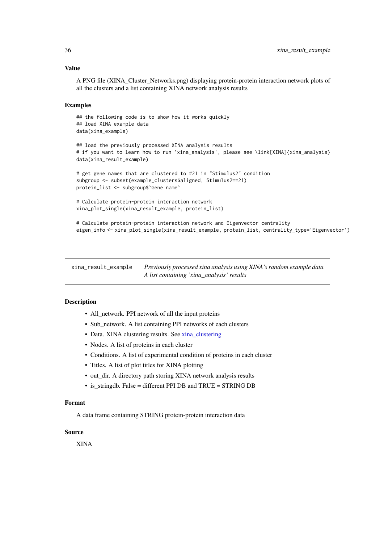#### <span id="page-35-0"></span>Value

A PNG file (XINA\_Cluster\_Networks.png) displaying protein-protein interaction network plots of all the clusters and a list containing XINA network analysis results

# Examples

```
## the following code is to show how it works quickly
## load XINA example data
data(xina_example)
## load the previously processed XINA analysis results
# if you want to learn how to run 'xina_analysis', please see \link[XINA]{xina_analysis}
data(xina_result_example)
# get gene names that are clustered to #21 in "Stimulus2" condition
subgroup <- subset(example_clusters$aligned, Stimulus2==21)
protein_list <- subgroup$`Gene name`
# Calculate protein-protein interaction network
xina_plot_single(xina_result_example, protein_list)
# Calculate protein-protein interaction network and Eigenvector centrality
```
eigen\_info <- xina\_plot\_single(xina\_result\_example, protein\_list, centrality\_type='Eigenvector')

xina\_result\_example *Previously processed xina analysis using XINA's random example data A list containing 'xina\_analysis' results*

#### Description

- All\_network. PPI network of all the input proteins
- Sub\_network. A list containing PPI networks of each clusters
- Data. XINA clustering results. See [xina\\_clustering](#page-26-1)
- Nodes. A list of proteins in each cluster
- Conditions. A list of experimental condition of proteins in each cluster
- Titles. A list of plot titles for XINA plotting
- out\_dir. A directory path storing XINA network analysis results
- is stringdb. False = different PPI DB and TRUE = STRING DB

#### Format

A data frame containing STRING protein-protein interaction data

# Source

XINA